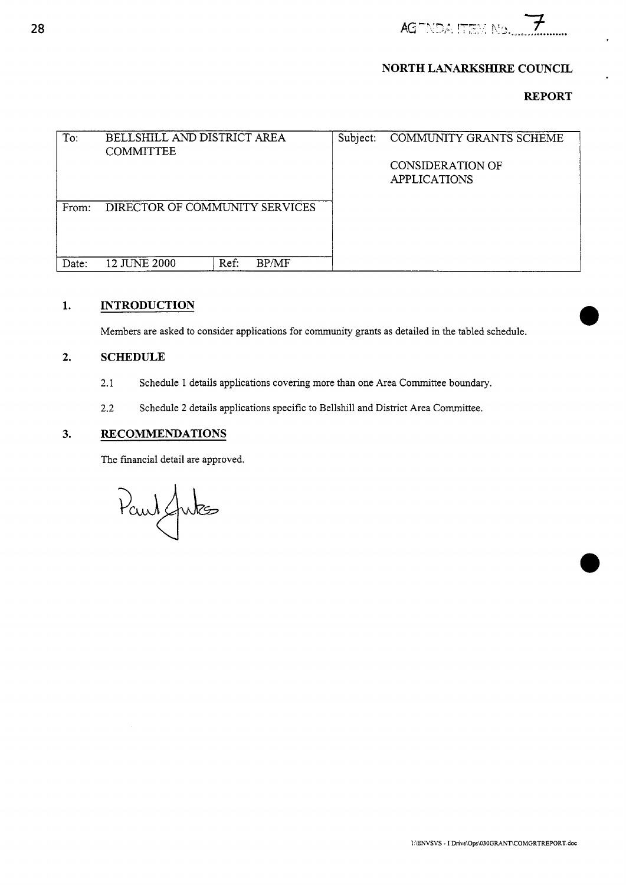

## **NORTH LANARKSHIRE COUNCIL**

## **REPORT**

<span id="page-0-0"></span>

| To:   | BELLSHILL AND DISTRICT AREA<br><b>COMMITTEE</b> |               | Subject: | COMMUNITY GRANTS SCHEME                 |
|-------|-------------------------------------------------|---------------|----------|-----------------------------------------|
|       |                                                 |               |          | CONSIDERATION OF<br><b>APPLICATIONS</b> |
| From: | DIRECTOR OF COMMUNITY SERVICES                  |               |          |                                         |
| Date: | 12 JUNE 2000                                    | BP/MF<br>Ref: |          |                                         |

## **1. INTRODUCTION**

Members are asked to consider applications for community grants as detailed in the tabled schedule.

#### **2. SCHEDULE**

- 2.1 Schedule 1 details applications covering more than one Area Committee boundary.
- 2.2 Schedule **2** details applications specific to Bellshill and District Area Committee.

#### **3. RECOMMENDATIONS**

The financial detail are approved.

Paul Jutes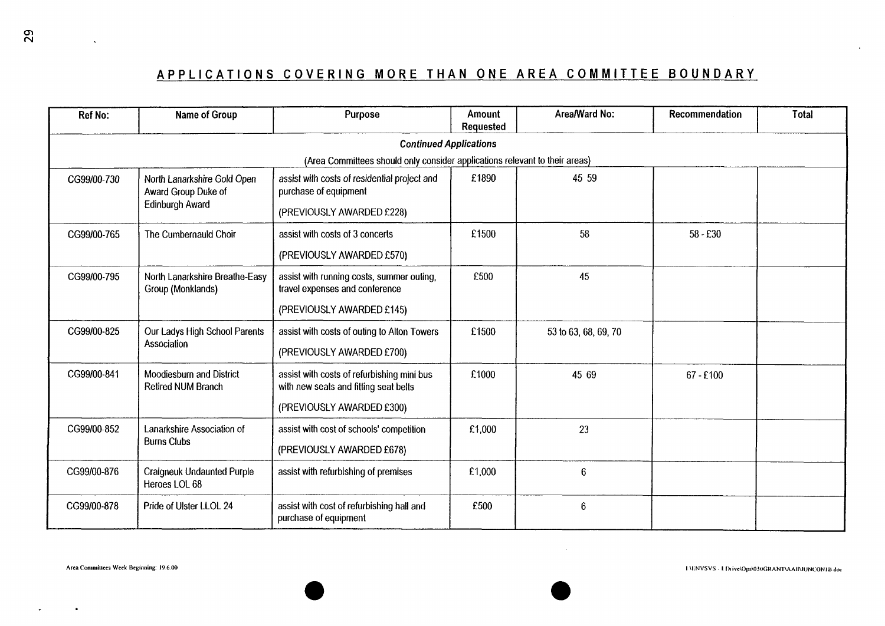# <span id="page-1-0"></span>**APPLICATIONS COVERING MORE THAN ONE AREA COMMITTEE BOUNDARY**

|                                        |                                                       | APPLICATIONS COVERING MORE THAN ONE AREA COMMITTEE BOUNDARY                                                                 |                     |                      |                |              |
|----------------------------------------|-------------------------------------------------------|-----------------------------------------------------------------------------------------------------------------------------|---------------------|----------------------|----------------|--------------|
| <b>Ref No:</b>                         | Name of Group                                         | Purpose                                                                                                                     | Amount<br>Requested | Area/Ward No:        | Recommendation | <b>Total</b> |
|                                        |                                                       | <b>Continued Applications</b>                                                                                               |                     |                      |                |              |
| CG99/00-730                            | North Lanarkshire Gold Open                           | (Area Committees should only consider applications relevant to their areas)<br>assist with costs of residential project and | £1890               | 45 59                |                |              |
| Award Group Duke of<br>Edinburgh Award |                                                       | purchase of equipment<br>(PREVIOUSLY AWARDED £228)                                                                          |                     |                      |                |              |
| CG99/00-765<br>The Cumbernauld Choir   | assist with costs of 3 concerts                       | £1500                                                                                                                       | 58                  | $58 - £30$           |                |              |
|                                        |                                                       | (PREVIOUSLY AWARDED £570)                                                                                                   |                     |                      |                |              |
| CG99/00-795                            | North Lanarkshire Breathe-Easy<br>Group (Monklands)   | assist with running costs, summer outing,<br>travel expenses and conference                                                 | £500                | 45                   |                |              |
|                                        |                                                       | (PREVIOUSLY AWARDED £145)                                                                                                   |                     |                      |                |              |
| CG99/00-825                            | Our Ladys High School Parents<br>Association          | assist with costs of outing to Alton Towers<br>(PREVIOUSLY AWARDED £700)                                                    | £1500               | 53 to 63, 68, 69, 70 |                |              |
| CG99/00-841                            | Moodiesburn and District<br><b>Retired NUM Branch</b> | assist with costs of refurbishing mini bus<br>with new seats and fitting seat belts                                         | £1000               | 45 69                | $67 - £100$    |              |
|                                        |                                                       | (PREVIOUSLY AWARDED £300)                                                                                                   |                     |                      |                |              |
| CG99/00-852                            | Lanarkshire Association of<br><b>Burns Clubs</b>      | assist with cost of schools' competition                                                                                    | £1,000              | 23                   |                |              |
|                                        |                                                       | (PREVIOUSLY AWARDED £678)                                                                                                   |                     |                      |                |              |
| CG99/00-876                            | <b>Craigneuk Undaunted Purple</b><br>Heroes LOL 68    | assist with refurbishing of premises                                                                                        | £1,000              | $\boldsymbol{6}$     |                |              |
| CG99/00-878                            | Pride of Ulster LLOL 24                               | assist with cost of refurbishing hall and<br>purchase of equipment                                                          | £500                | $\boldsymbol{6}$     |                |              |
|                                        |                                                       |                                                                                                                             |                     |                      |                |              |

 $\sim$ 

 $\hat{\phantom{a}}$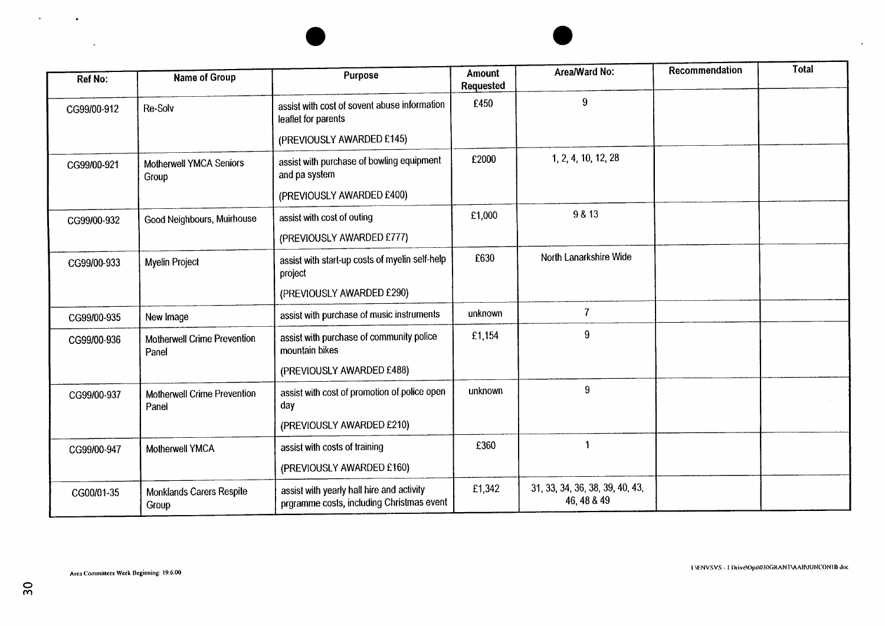| <b>Ref No:</b> | <b>Name of Group</b>                                                                                  | Purpose                                                                                | Amount<br>Requested | Area/Ward No:                                  | <b>Recommendation</b> | <b>Total</b> |
|----------------|-------------------------------------------------------------------------------------------------------|----------------------------------------------------------------------------------------|---------------------|------------------------------------------------|-----------------------|--------------|
| CG99/00-912    | Re-Solv                                                                                               | assist with cost of sovent abuse information<br>leaflet for parents                    | £450                | $9\,$                                          |                       |              |
|                |                                                                                                       | (PREVIOUSLY AWARDED £145)                                                              |                     |                                                |                       |              |
| CG99/00-921    | assist with purchase of bowling equipment<br><b>Motherwell YMCA Seniors</b><br>and pa system<br>Group |                                                                                        | £2000               | 1, 2, 4, 10, 12, 28                            |                       |              |
|                |                                                                                                       | (PREVIOUSLY AWARDED £400)                                                              |                     |                                                |                       |              |
| CG99/00-932    | Good Neighbours, Muirhouse                                                                            | 9 & 13<br>£1,000<br>assist with cost of outing                                         |                     |                                                |                       |              |
|                |                                                                                                       | (PREVIOUSLY AWARDED £777)                                                              |                     |                                                |                       |              |
| CG99/00-933    | Myelin Project                                                                                        | assist with start-up costs of myelin self-help<br>project                              | £630                | North Lanarkshire Wide                         |                       |              |
|                |                                                                                                       | (PREVIOUSLY AWARDED £290)                                                              |                     |                                                |                       |              |
| CG99/00-935    | New Image                                                                                             | assist with purchase of music instruments                                              | unknown             | $\overline{7}$                                 |                       |              |
| CG99/00-936    | <b>Motherwell Crime Prevention</b><br>Panel                                                           | assist with purchase of community police<br>mountain bikes                             | £1,154              | 9                                              |                       |              |
|                |                                                                                                       | (PREVIOUSLY AWARDED £488)                                                              |                     |                                                |                       |              |
| CG99/00-937    | <b>Motherwell Crime Prevention</b><br>Panel                                                           | assist with cost of promotion of police open<br>day                                    | unknown             | $\overline{9}$                                 |                       |              |
|                |                                                                                                       | (PREVIOUSLY AWARDED £210)                                                              |                     |                                                |                       |              |
| CG99/00-947    | Motherwell YMCA                                                                                       | assist with costs of training                                                          | £360                |                                                |                       |              |
|                |                                                                                                       | (PREVIOUSLY AWARDED £160)                                                              |                     |                                                |                       |              |
| CG00/01-35     | <b>Monklands Carers Respite</b><br>Group                                                              | assist with yearly hall hire and activity<br>prgramme costs, including Christmas event | £1,342              | 31, 33, 34, 36, 38, 39, 40, 43,<br>46, 48 & 49 |                       |              |

 $\sim$ 

÷

<span id="page-2-0"></span> $\sim$ 

 $\bullet$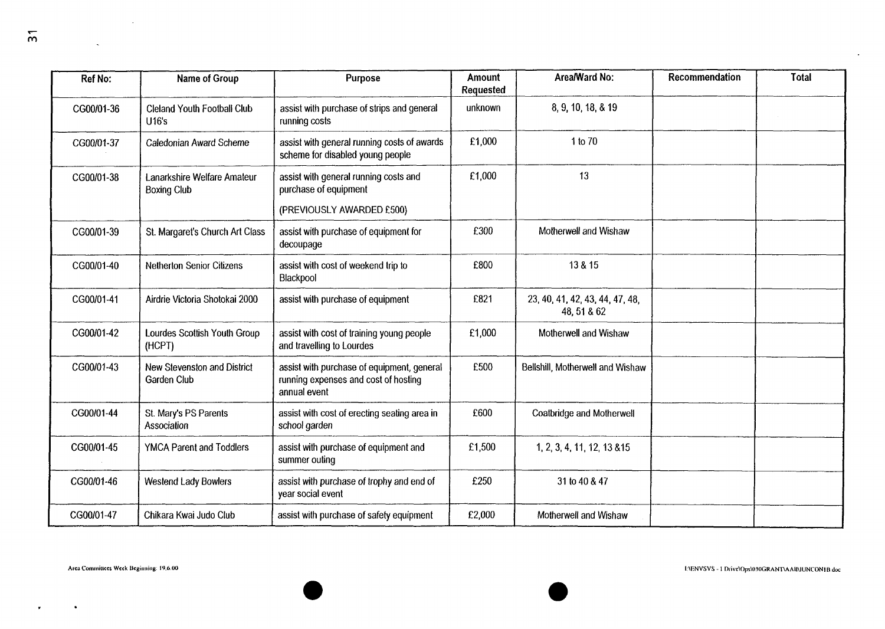$\overline{m}$ 

 $\mathcal{L}^{\text{max}}_{\text{max}}$ 

| <b>Ref No:</b> | Name of Group                                     | Purpose                                                                                            | Area/Ward No:<br><b>Amount</b><br>Requested |                                                | Recommendation | <b>Total</b> |
|----------------|---------------------------------------------------|----------------------------------------------------------------------------------------------------|---------------------------------------------|------------------------------------------------|----------------|--------------|
| CG00/01-36     | Cleland Youth Football Club<br>U16's              | assist with purchase of strips and general<br>running costs                                        | unknown                                     | 8, 9, 10, 18, & 19                             |                |              |
| CG00/01-37     | Caledonian Award Scheme                           | assist with general running costs of awards<br>scheme for disabled young people                    | £1,000                                      | 1 to 70                                        |                |              |
| CG00/01-38     | Lanarkshire Welfare Amateur<br><b>Boxing Club</b> | assist with general running costs and<br>purchase of equipment                                     | 13<br>£1,000                                |                                                |                |              |
|                |                                                   | (PREVIOUSLY AWARDED £500)                                                                          |                                             |                                                |                |              |
| CG00/01-39     | St. Margaret's Church Art Class                   | assist with purchase of equipment for<br>decoupage                                                 | £300                                        | Motherwell and Wishaw                          |                |              |
| CG00/01-40     | <b>Netherton Senior Citizens</b>                  | assist with cost of weekend trip to<br>Blackpool                                                   | £800                                        | 13 & 15                                        |                |              |
| CG00/01-41     | Airdrie Victoria Shotokai 2000                    | assist with purchase of equipment                                                                  | £821                                        | 23, 40, 41, 42, 43, 44, 47, 48,<br>48, 51 & 62 |                |              |
| CG00/01-42     | Lourdes Scottish Youth Group<br>(HCPT)            | assist with cost of training young people<br>and travelling to Lourdes                             | £1,000                                      | Motherwell and Wishaw                          |                |              |
| CG00/01-43     | New Stevenston and District<br><b>Garden Club</b> | assist with purchase of equipment, general<br>running expenses and cost of hosting<br>annual event | £500                                        | Bellshill, Motherwell and Wishaw               |                |              |
| CG00/01-44     | St. Mary's PS Parents<br>Association              | assist with cost of erecting seating area in<br>school garden                                      | £600                                        | <b>Coatbridge and Motherwell</b>               |                |              |
| CG00/01-45     | <b>YMCA Parent and Toddlers</b>                   | assist with purchase of equipment and<br>summer outing                                             | £1,500<br>1, 2, 3, 4, 11, 12, 13 & 15       |                                                |                |              |
| CG00/01-46     | <b>Westend Lady Bowlers</b>                       | assist with purchase of trophy and end of<br>year social event                                     | £250<br>31 to 40 & 47                       |                                                |                |              |
| CG00/01-47     | Chikara Kwai Judo Club                            | assist with purchase of safety equipment                                                           | £2,000                                      | Motherwell and Wishaw                          |                |              |

 $\mathbf{r}$ 

 $\bullet$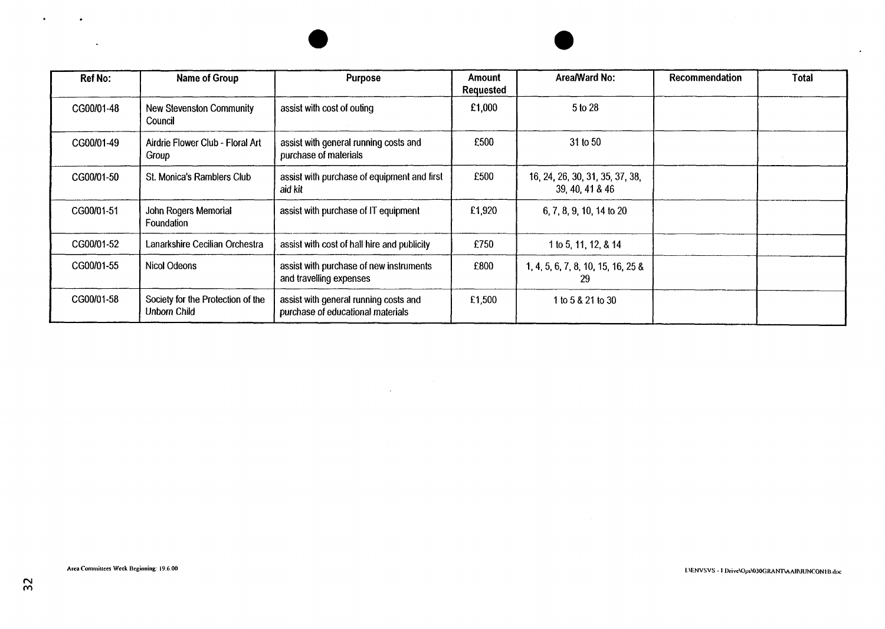| Ref No:    | Name of Group                                     | Purpose                                                                    | Amount<br><b>Requested</b> | Area/Ward No:                                      | <b>Recommendation</b> | Total |
|------------|---------------------------------------------------|----------------------------------------------------------------------------|----------------------------|----------------------------------------------------|-----------------------|-------|
| CG00/01-48 | <b>New Stevenston Community</b><br>Council        | assist with cost of outing                                                 | £1,000                     | 5 to 28                                            |                       |       |
| CG00/01-49 | Airdrie Flower Club - Floral Art<br>Group         | assist with general running costs and<br>purchase of materials             | £500                       | 31 to 50                                           |                       |       |
| CG00/01-50 | St. Monica's Ramblers Club                        | assist with purchase of equipment and first<br>aid kit                     | £500                       | 16, 24, 26, 30, 31, 35, 37, 38,<br>39, 40, 41 & 46 |                       |       |
| CG00/01-51 | John Rogers Memorial<br>Foundation                | assist with purchase of IT equipment                                       | £1,920                     | 6, 7, 8, 9, 10, 14 to 20                           |                       |       |
| CG00/01-52 | Lanarkshire Cecilian Orchestra                    | assist with cost of hall hire and publicity                                | £750                       | 1 to 5, 11, 12, & 14                               |                       |       |
| CG00/01-55 | Nicol Odeons                                      | assist with purchase of new instruments<br>and travelling expenses         | £800                       | 1, 4, 5, 6, 7, 8, 10, 15, 16, 25 &<br>29           |                       |       |
| CG00/01-58 | Society for the Protection of the<br>Unborn Child | assist with general running costs and<br>purchase of educational materials | £1,500                     | 1 to 5 & 21 to 30                                  |                       |       |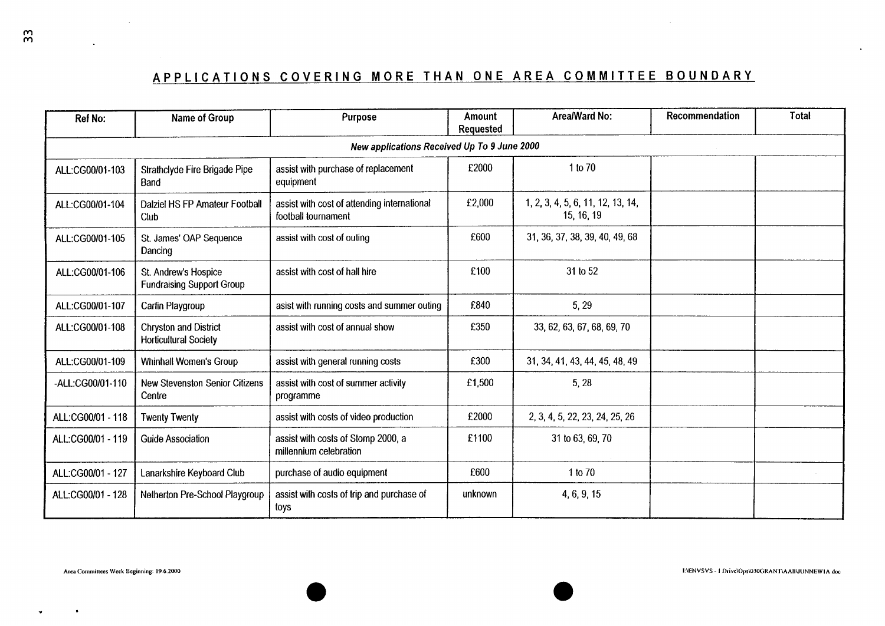# **APPLICATIONS COVERING MORE THAN ONE AREA COMMITTEE BOUNDARY**

|                   |                                                              | APPLICATIONS COVERING MORE THAN ONE AREA COMMITTEE BOUNDARY        |           |                                                 |                |              |
|-------------------|--------------------------------------------------------------|--------------------------------------------------------------------|-----------|-------------------------------------------------|----------------|--------------|
|                   |                                                              | Purpose                                                            | Amount    | Area/Ward No:                                   | Recommendation | <b>Total</b> |
| Ref No:           | Name of Group                                                | New applications Received Up To 9 June 2000                        | Requested |                                                 |                |              |
| ALL:CG00/01-103   | Strathclyde Fire Brigade Pipe<br>Band                        | assist with purchase of replacement<br>equipment                   | £2000     | 1 to 70                                         |                |              |
| ALL:CG00/01-104   | Dalziel HS FP Amateur Football<br>Club                       | assist with cost of attending international<br>football tournament | £2,000    | 1, 2, 3, 4, 5, 6, 11, 12, 13, 14,<br>15, 16, 19 |                |              |
| ALL:CG00/01-105   | St. James' OAP Sequence<br>Dancing                           | assist with cost of outing                                         | £600      | 31, 36, 37, 38, 39, 40, 49, 68                  |                |              |
| ALL:CG00/01-106   | St. Andrew's Hospice<br><b>Fundraising Support Group</b>     | assist with cost of hall hire                                      | £100      | 31 to 52                                        |                |              |
| ALL:CG00/01-107   | Carfin Playgroup                                             | asist with running costs and summer outing                         | £840      | 5, 29                                           |                |              |
| ALL:CG00/01-108   | <b>Chryston and District</b><br><b>Horticultural Society</b> | assist with cost of annual show                                    | £350      | 33, 62, 63, 67, 68, 69, 70                      |                |              |
| ALL:CG00/01-109   | <b>Whinhall Women's Group</b>                                | assist with general running costs                                  | £300      | 31, 34, 41, 43, 44, 45, 48, 49                  |                |              |
| -ALL:CG00/01-110  | <b>New Stevenston Senior Citizens</b><br>Centre              | assist with cost of summer activity<br>programme                   | £1,500    | 5,28                                            |                |              |
| ALL:CG00/01 - 118 | <b>Twenty Twenty</b>                                         | assist with costs of video production                              | £2000     | 2, 3, 4, 5, 22, 23, 24, 25, 26                  |                |              |
| ALL:CG00/01 - 119 | <b>Guide Association</b>                                     | assist with costs of Stomp 2000, a<br>millennium celebration       | £1100     | 31 to 63, 69, 70                                |                |              |
| ALL:CG00/01 - 127 | Lanarkshire Keyboard Club                                    | purchase of audio equipment                                        | £600      | 1 to 70                                         |                |              |

.

 $\bullet$ 

 $\ddot{\phantom{a}}$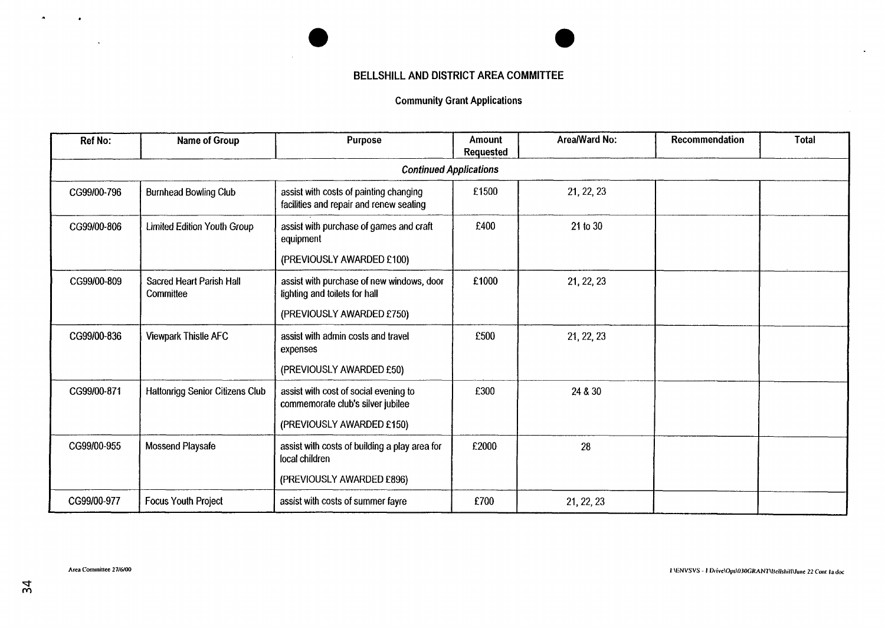## **BELLSHILL AND DISTRICT AREA COMMITTEE**

 $\sim$ 

### Community Grant Applications

| <b>Ref No:</b> | Name of Group                                                          | Purpose                                                                             | <b>Amount</b><br>Requested | Area/Ward No: | Recommendation | <b>Total</b> |
|----------------|------------------------------------------------------------------------|-------------------------------------------------------------------------------------|----------------------------|---------------|----------------|--------------|
|                |                                                                        | <b>Continued Applications</b>                                                       |                            |               |                |              |
| CG99/00-796    | <b>Burnhead Bowling Club</b>                                           | assist with costs of painting changing<br>facilities and repair and renew seating   | £1500                      | 21, 22, 23    |                |              |
| CG99/00-806    | <b>Limited Edition Youth Group</b>                                     | assist with purchase of games and craft<br>equipment                                | £400                       | 21 to 30      |                |              |
|                |                                                                        | (PREVIOUSLY AWARDED £100)                                                           |                            |               |                |              |
| CG99/00-809    | <b>Sacred Heart Parish Hall</b><br>Committee                           | £1000<br>assist with purchase of new windows, door<br>lighting and toilets for hall |                            | 21, 22, 23    |                |              |
|                |                                                                        | (PREVIOUSLY AWARDED £750)                                                           |                            |               |                |              |
| CG99/00-836    | Viewpark Thistle AFC<br>assist with admin costs and travel<br>expenses |                                                                                     | £500                       | 21, 22, 23    |                |              |
|                |                                                                        | (PREVIOUSLY AWARDED £50)                                                            |                            |               |                |              |
| CG99/00-871    | <b>Hattonrigg Senior Citizens Club</b>                                 | assist with cost of social evening to<br>commemorate club's silver jubilee          | £300                       | 24 & 30       |                |              |
|                |                                                                        | (PREVIOUSLY AWARDED £150)                                                           |                            |               |                |              |
| CG99/00-955    | <b>Mossend Playsafe</b>                                                | assist with costs of building a play area for<br>local children                     | £2000                      | 28            |                |              |
|                |                                                                        | (PREVIOUSLY AWARDED £896)                                                           |                            |               |                |              |
| CG99/00-977    | <b>Focus Youth Project</b>                                             | assist with costs of summer fayre                                                   | £700                       | 21, 22, 23    |                |              |

 $\bullet$ 

.

 $\bullet$ 

 $\ddot{\phantom{a}}$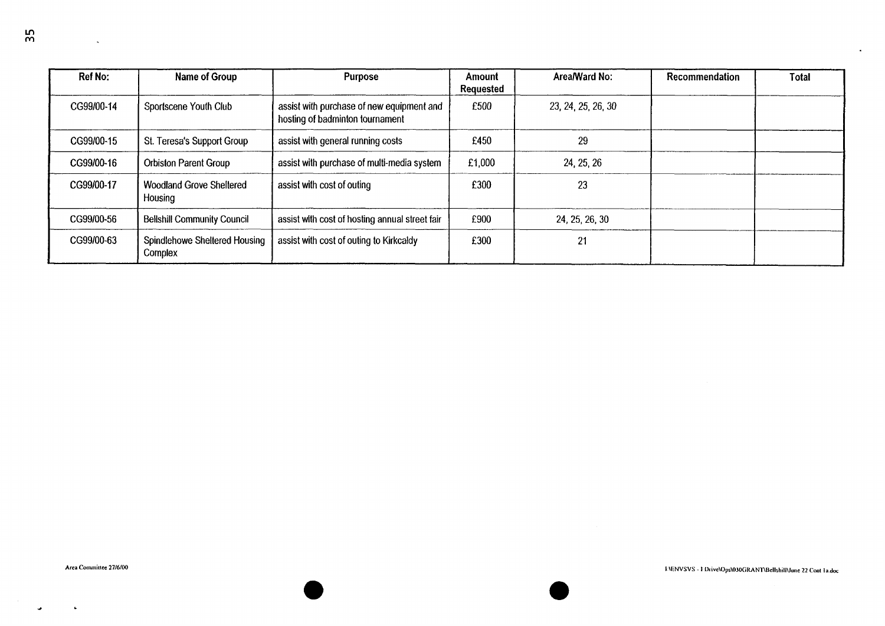| $\mathcal{L}_{\text{max}}$ and $\mathcal{L}_{\text{max}}$ . The $\mathcal{L}_{\text{max}}$ |                                                                         |                                                                                           |                             |                                     |                                                               | $\sim$ 100 $\mu$ |
|--------------------------------------------------------------------------------------------|-------------------------------------------------------------------------|-------------------------------------------------------------------------------------------|-----------------------------|-------------------------------------|---------------------------------------------------------------|------------------|
| Ref No:<br>CG99/00-14                                                                      | Name of Group<br>Sportscene Youth Club                                  | Purpose<br>assist with purchase of new equipment and<br>hosting of badminton tournament   | Amount<br>Requested<br>£500 | Area/Ward No:<br>23, 24, 25, 26, 30 | Recommendation                                                | Total            |
| CG99/00-15<br>CG99/00-16                                                                   | St. Teresa's Support Group<br>Orbiston Parent Group                     | assist with general running costs<br>assist with purchase of multi-media system           | £450<br>£1,000              | 29<br>24, 25, 26                    |                                                               |                  |
| CG99/00-17                                                                                 | Woodland Grove Sheltered<br>Housing                                     | assist with cost of outing                                                                | £300                        | 23                                  |                                                               |                  |
| CG99/00-56<br>CG99/00-63                                                                   | Bellshill Community Council<br>Spindlehowe Sheltered Housing<br>Complex | assist with cost of hosting annual street fair<br>assist with cost of outing to Kirkcaldy | £900<br>£300                | 24, 25, 26, 30<br>21                |                                                               |                  |
|                                                                                            |                                                                         |                                                                                           |                             |                                     |                                                               |                  |
|                                                                                            |                                                                         |                                                                                           |                             |                                     |                                                               |                  |
|                                                                                            |                                                                         |                                                                                           |                             |                                     |                                                               |                  |
|                                                                                            |                                                                         |                                                                                           |                             |                                     |                                                               |                  |
|                                                                                            |                                                                         |                                                                                           |                             |                                     |                                                               |                  |
|                                                                                            |                                                                         |                                                                                           |                             |                                     |                                                               |                  |
| Area Committee 27/6/00                                                                     |                                                                         |                                                                                           |                             |                                     | IAENVSVS - I Drive\Ops\030GRANT\Bellshill\June 22 Cont la.doc |                  |
|                                                                                            |                                                                         |                                                                                           |                             |                                     |                                                               |                  |

 $\Delta$ 

 $\overline{a}$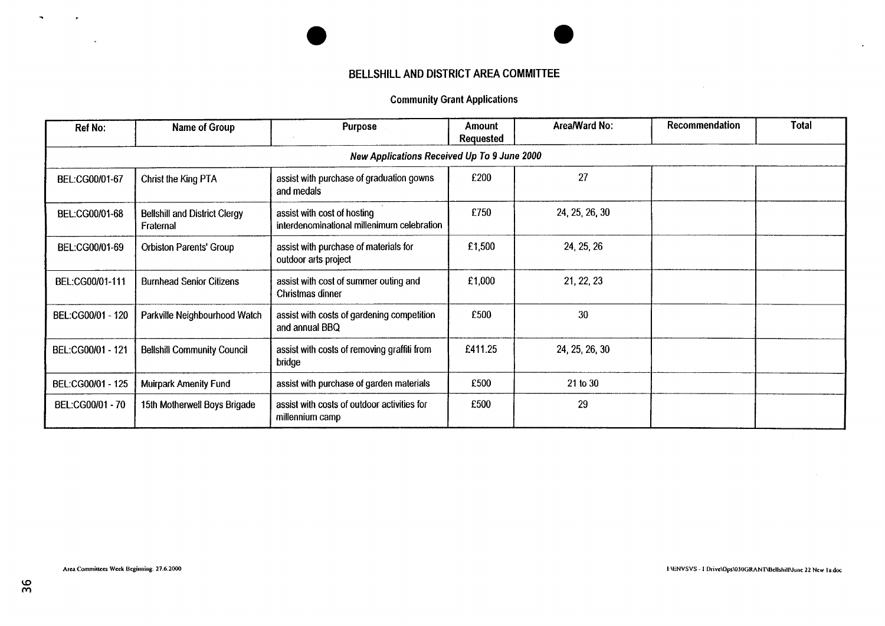# **BELLSHILL AND DISTRICT AREA COMMITTEE**

# Community Grant Applications

| <b>Ref No:</b>    | Name of Group                                                                                  | <b>Purpose</b>                                                            | Amount<br><b>Requested</b> | Area/Ward No:  | Recommendation | Total |
|-------------------|------------------------------------------------------------------------------------------------|---------------------------------------------------------------------------|----------------------------|----------------|----------------|-------|
|                   |                                                                                                | New Applications Received Up To 9 June 2000                               |                            |                |                |       |
| BEL:CG00/01-67    | Christ the King PTA                                                                            | assist with purchase of graduation gowns<br>and medals                    | £200                       | 27             |                |       |
| BEL:CG00/01-68    | <b>Bellshill and District Clergy</b><br>Fraternal                                              | assist with cost of hosting<br>interdenominational millenimum celebration | £750                       | 24, 25, 26, 30 |                |       |
| BEL:CG00/01-69    | <b>Orbiston Parents' Group</b>                                                                 | assist with purchase of materials for<br>outdoor arts project             |                            | 24, 25, 26     |                |       |
| BEL:CG00/01-111   | <b>Burnhead Senior Citizens</b>                                                                | assist with cost of summer outing and<br>Christmas dinner                 | £1,000                     | 21, 22, 23     |                |       |
| BEL:CG00/01 - 120 | Parkville Neighbourhood Watch                                                                  | assist with costs of gardening competition<br>and annual BBQ              | £500                       | 30             |                |       |
| BEL:CG00/01 - 121 | <b>Bellshill Community Council</b>                                                             | assist with costs of removing graffiti from<br>bridge                     | £411.25                    | 24, 25, 26, 30 |                |       |
| BEL:CG00/01 - 125 | <b>Muirpark Amenity Fund</b>                                                                   | assist with purchase of garden materials                                  | £500                       | 21 to 30       |                |       |
| BEL:CG00/01 - 70  | assist with costs of outdoor activities for<br>15th Motherwell Boys Brigade<br>millennium camp |                                                                           | £500                       | 29             |                |       |

 $\sim$ 

 $\mathcal{L}$ 

 $\sim$ 

 $\mathcal{L}^{\text{max}}$ 

 $\Delta$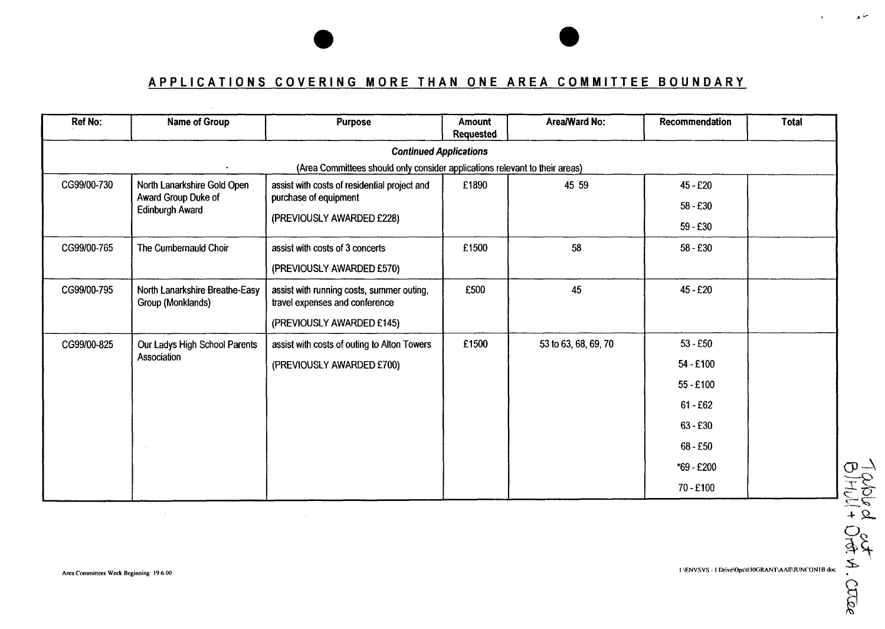# **APPLICATIONS COVERING MORE THAN ONE AREA COMMITTEE BOUNDARY**

| <b>Ref No:</b> | Name of Group                                       | Purpose                                                                     | <b>Amount</b><br><b>Requested</b> | Area/Ward No:        | Recommendation | <b>Total</b> |
|----------------|-----------------------------------------------------|-----------------------------------------------------------------------------|-----------------------------------|----------------------|----------------|--------------|
|                |                                                     | <b>Continued Applications</b>                                               |                                   |                      |                |              |
|                |                                                     | (Area Committees should only consider applications relevant to their areas) |                                   |                      |                |              |
| CG99/00-730    | North Lanarkshire Gold Open<br>Award Group Duke of  | assist with costs of residential project and<br>purchase of equipment       | £1890                             | 45 59                | 45 - £20       |              |
|                | <b>Edinburgh Award</b>                              |                                                                             |                                   |                      | $58 - £30$     |              |
|                |                                                     | (PREVIOUSLY AWARDED £228)                                                   |                                   |                      | $59 - £30$     |              |
| CG99/00-765    | The Cumbernauld Choir                               | assist with costs of 3 concerts                                             | £1500                             | 58                   | $58 - £30$     |              |
|                |                                                     | (PREVIOUSLY AWARDED £570)                                                   |                                   |                      |                |              |
| CG99/00-795    | North Lanarkshire Breathe-Easy<br>Group (Monklands) | assist with running costs, summer outing,<br>travel expenses and conference | £500                              | 45                   | $45 - £20$     |              |
|                |                                                     | (PREVIOUSLY AWARDED £145)                                                   |                                   |                      |                |              |
| CG99/00-825    | Our Ladys High School Parents                       | assist with costs of outing to Alton Towers                                 | £1500                             | 53 to 63, 68, 69, 70 | $53 - £50$     |              |
|                | Association                                         | (PREVIOUSLY AWARDED £700)                                                   |                                   |                      | 54 - £100      |              |
|                |                                                     |                                                                             |                                   |                      | 55 - £100      |              |
|                |                                                     |                                                                             |                                   |                      | $61 - £62$     |              |
|                |                                                     |                                                                             |                                   |                      | $63 - £30$     |              |
|                |                                                     |                                                                             |                                   |                      | 68 - £50       |              |
|                |                                                     |                                                                             |                                   |                      | *69 - £200     |              |
|                |                                                     |                                                                             |                                   |                      | 70 - £100      |              |

 $\sim$ 

**I \ENVSVS** - **I Drivc\Ops\O~OGRANT\AAllW~lN~flNI B duc** 

*J-* =-

 $\mathbf{r}$ 

 $\sim 10^7$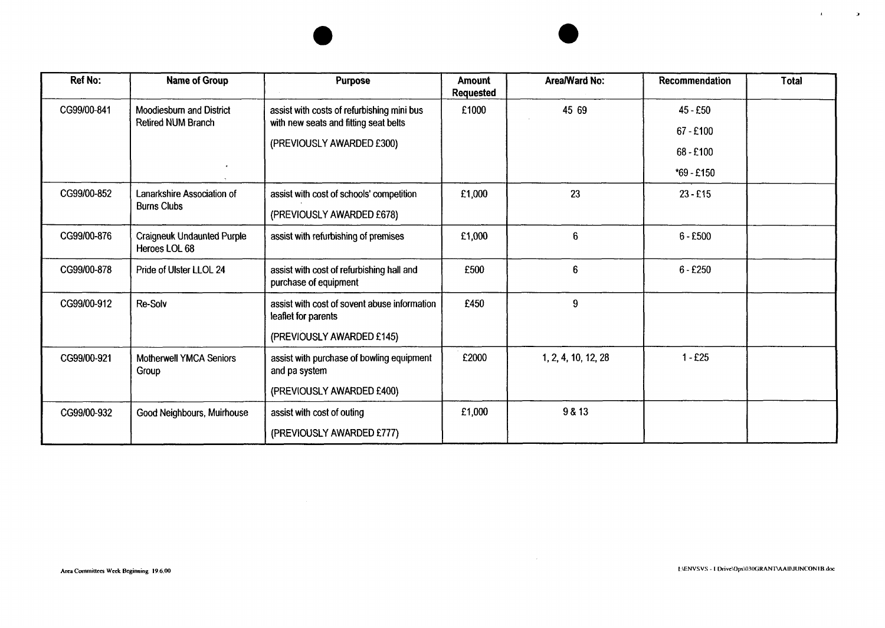| Ref No:     | <b>Name of Group</b>                               | <b>Purpose</b>                                                                      | Amount<br>Requested | Area/Ward No:       | Recommendation | Total |
|-------------|----------------------------------------------------|-------------------------------------------------------------------------------------|---------------------|---------------------|----------------|-------|
| CG99/00-841 | Moodiesburn and District<br>Retired NUM Branch     | assist with costs of refurbishing mini bus<br>with new seats and fitting seat belts | £1000               | 45 69               | $45 - £50$     |       |
|             |                                                    | (PREVIOUSLY AWARDED £300)                                                           |                     |                     | $67 - £100$    |       |
|             |                                                    |                                                                                     |                     |                     | 68 - £100      |       |
|             | <b>M</b>                                           |                                                                                     |                     |                     | $*69 - £150$   |       |
| CG99/00-852 | Lanarkshire Association of                         | assist with cost of schools' competition                                            | £1,000              | 23                  | $23 - £15$     |       |
|             | <b>Burns Clubs</b>                                 | (PREVIOUSLY AWARDED £678)                                                           |                     |                     |                |       |
| CG99/00-876 | <b>Craigneuk Undaunted Purple</b><br>Heroes LOL 68 | assist with refurbishing of premises                                                | £1,000              | 6                   | $6 - £500$     |       |
| CG99/00-878 | Pride of Ulster LLOL 24                            | assist with cost of refurbishing hall and<br>purchase of equipment                  | £500                | 6                   | $6 - £250$     |       |
| CG99/00-912 | Re-Solv                                            | assist with cost of sovent abuse information<br>leaflet for parents                 | £450                | 9                   |                |       |
|             |                                                    | (PREVIOUSLY AWARDED £145)                                                           |                     |                     |                |       |
| CG99/00-921 | Motherwell YMCA Seniors<br>Group                   | assist with purchase of bowling equipment<br>and pa system                          | £2000               | 1, 2, 4, 10, 12, 28 | $1 - £25$      |       |
|             |                                                    | (PREVIOUSLY AWARDED £400)                                                           |                     |                     |                |       |
| CG99/00-932 | Good Neighbours, Muirhouse                         | assist with cost of outing                                                          | £1,000              | 9 & 13              |                |       |
|             |                                                    | (PREVIOUSLY AWARDED £777)                                                           |                     |                     |                |       |

 $\mathcal{L}^{\text{max}}_{\text{max}}$ 

 $\mathbf{u} = \mathbf{u} \times \mathbf{u}$  . So that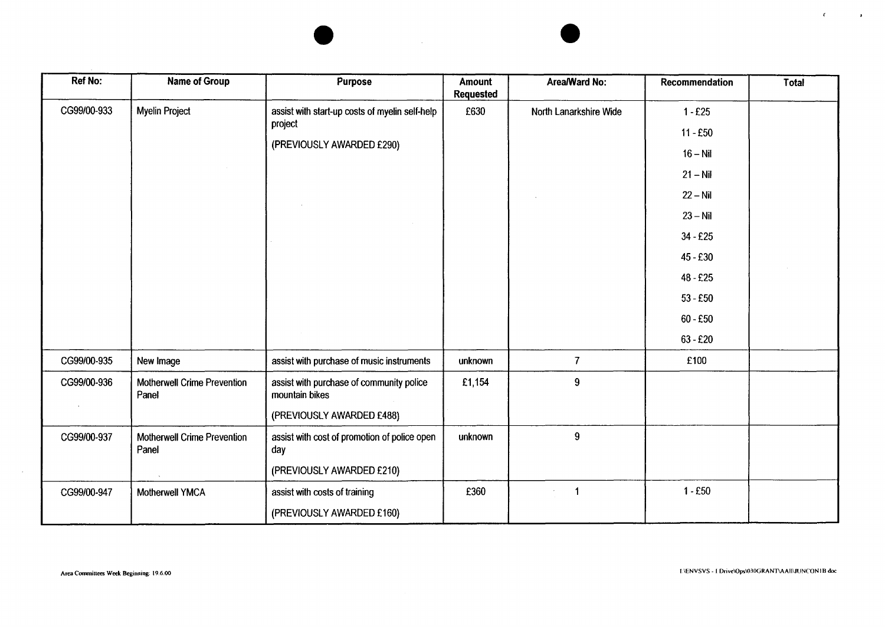

| <b>Ref No:</b> | <b>Name of Group</b>                 | Purpose                                                                                 | Amount<br><b>Requested</b> | Area/Ward No:          | Recommendation                                                                               | Total |
|----------------|--------------------------------------|-----------------------------------------------------------------------------------------|----------------------------|------------------------|----------------------------------------------------------------------------------------------|-------|
| CG99/00-933    | Myelin Project                       | assist with start-up costs of myelin self-help<br>project<br>(PREVIOUSLY AWARDED £290)  | £630                       | North Lanarkshire Wide | $1 - £25$<br>$11 - E50$<br>$16 - Nil$<br>$21 - Nil$<br>$22 - Nil$                            |       |
|                |                                      |                                                                                         |                            |                        | $23 - Nil$<br>$34 - £25$<br>45 - £30<br>$48 - £25$<br>$53 - £50$<br>$60 - £50$<br>$63 - £20$ |       |
| CG99/00-935    | New Image                            | assist with purchase of music instruments                                               | unknown                    | $\overline{7}$         | £100                                                                                         |       |
| CG99/00-936    | Motherwell Crime Prevention<br>Panel | assist with purchase of community police<br>mountain bikes<br>(PREVIOUSLY AWARDED £488) | £1,154                     | $\boldsymbol{9}$       |                                                                                              |       |
| CG99/00-937    | Motherwell Crime Prevention<br>Panel | assist with cost of promotion of police open<br>day<br>(PREVIOUSLY AWARDED £210)        | unknown                    | $\boldsymbol{9}$       |                                                                                              |       |
| CG99/00-947    | Motherwell YMCA                      | assist with costs of training<br>(PREVIOUSLY AWARDED £160)                              | £360                       | $\ddot{\mathbf{1}}$    | $1 - £50$                                                                                    |       |

 $\sim 10^7$ 

*4*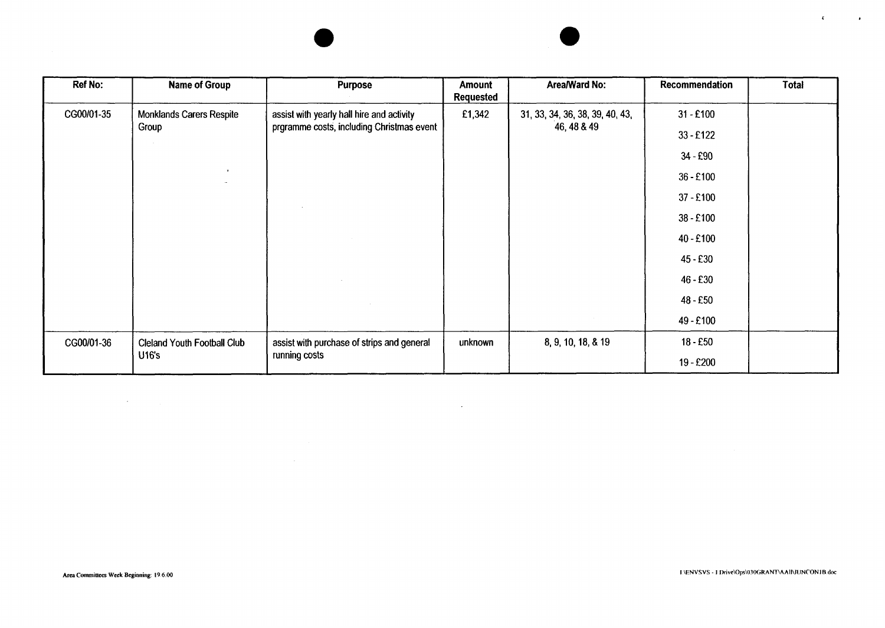| <b>Ref No:</b> | <b>Name of Group</b>               | <b>Purpose</b>                             | Amount<br><b>Requested</b> | Area/Ward No:                   | Recommendation | <b>Total</b> |
|----------------|------------------------------------|--------------------------------------------|----------------------------|---------------------------------|----------------|--------------|
| CG00/01-35     | <b>Monklands Carers Respite</b>    | assist with yearly hall hire and activity  | £1,342                     | 31, 33, 34, 36, 38, 39, 40, 43, | $31 - £100$    |              |
|                | Group                              | prgramme costs, including Christmas event  |                            | 46, 48 & 49                     | $33 - £122$    |              |
|                |                                    |                                            |                            |                                 | $34 - £90$     |              |
|                | $\mathbf{r}$                       |                                            |                            |                                 | 36 - £100      |              |
|                |                                    |                                            |                            |                                 | $37 - £100$    |              |
|                |                                    |                                            |                            |                                 | 38 - £100      |              |
|                |                                    |                                            |                            |                                 | $40 - £100$    |              |
|                |                                    |                                            |                            |                                 | $45 - £30$     |              |
|                |                                    |                                            |                            |                                 | $46 - £30$     |              |
|                |                                    |                                            |                            |                                 | $48 - £50$     |              |
|                |                                    |                                            |                            |                                 | 49 - £100      |              |
| CG00/01-36     | <b>Cleland Youth Football Club</b> | assist with purchase of strips and general | unknown                    | 8, 9, 10, 18, & 19              | $18 - £50$     |              |
|                | <b>U16's</b>                       | running costs                              |                            |                                 | 19 - £200      |              |

 $\mathcal{O}(\mathcal{O}_\mathcal{O})$  . The set of the set of the set of the set of the set of the  $\mathcal{O}(\mathcal{O}_\mathcal{O})$ 

 $\label{eq:2.1} \mathcal{L}(\mathcal{L}^{\text{max}}_{\mathcal{L}}(\mathcal{L}^{\text{max}}_{\mathcal{L}}),\mathcal{L}^{\text{max}}_{\mathcal{L}^{\text{max}}_{\mathcal{L}}(\mathcal{L}^{\text{max}}_{\mathcal{L}^{\text{max}}_{\mathcal{L}^{\text{max}}_{\mathcal{L}^{\text{max}}_{\mathcal{L}^{\text{max}}_{\mathcal{L}^{\text{max}}_{\mathcal{L}^{\text{max}}_{\mathcal{L}^{\text{max}}_{\mathcal{L}^{\text{max}}_{\mathcal{L}^{\text{max}}_{\mathcal{$ 

 $\mathcal{R}^{\pm}$ 

**Contractor**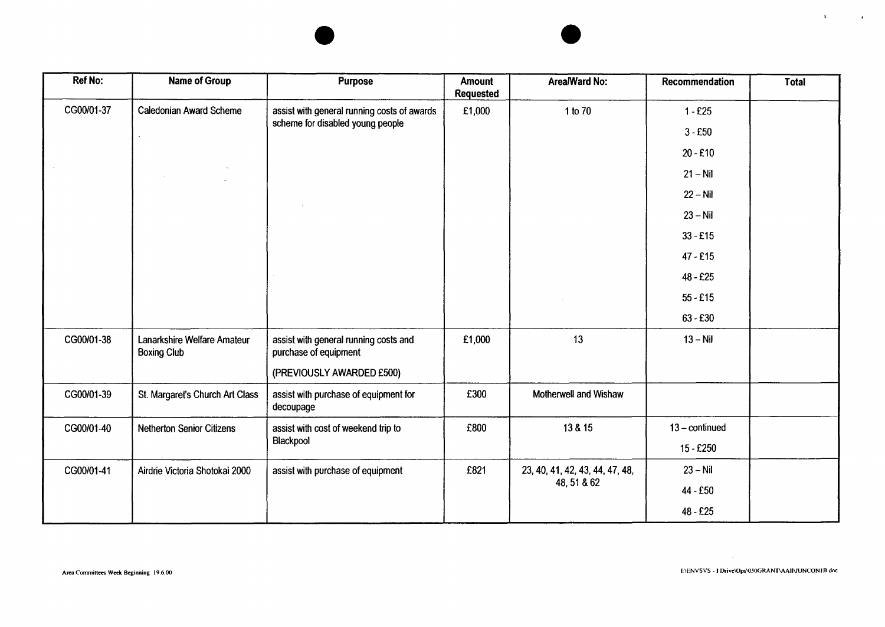| <b>Ref No:</b> | Name of Group                                     | <b>Purpose</b>                                                                  | <b>Amount</b><br><b>Requested</b> | Area/Ward No:                   | Recommendation   | Total |
|----------------|---------------------------------------------------|---------------------------------------------------------------------------------|-----------------------------------|---------------------------------|------------------|-------|
| CG00/01-37     | <b>Caledonian Award Scheme</b>                    | assist with general running costs of awards<br>scheme for disabled young people | £1,000                            | 1 to 70                         | $1 - £25$        |       |
|                |                                                   |                                                                                 |                                   |                                 | $3 - £50$        |       |
|                |                                                   |                                                                                 |                                   |                                 | $20 - £10$       |       |
|                |                                                   |                                                                                 |                                   |                                 | $21 - Nil$       |       |
|                |                                                   |                                                                                 |                                   |                                 | $22 - Nil$       |       |
|                |                                                   |                                                                                 |                                   |                                 | $23 - Nil$       |       |
|                |                                                   |                                                                                 |                                   |                                 | $33 - £15$       |       |
|                |                                                   |                                                                                 |                                   |                                 | $47 - £15$       |       |
|                |                                                   |                                                                                 |                                   |                                 | $48 - £25$       |       |
|                |                                                   |                                                                                 |                                   |                                 | $55 - £15$       |       |
|                |                                                   |                                                                                 |                                   |                                 | $63 - £30$       |       |
| CG00/01-38     | Lanarkshire Welfare Amateur<br><b>Boxing Club</b> | assist with general running costs and<br>purchase of equipment                  | £1,000                            | 13                              | $13 - Nil$       |       |
|                |                                                   | (PREVIOUSLY AWARDED £500)                                                       |                                   |                                 |                  |       |
| CG00/01-39     | St. Margaret's Church Art Class                   | assist with purchase of equipment for<br>decoupage                              | £300                              | Motherwell and Wishaw           |                  |       |
| CG00/01-40     | <b>Netherton Senior Citizens</b>                  | assist with cost of weekend trip to                                             | £800                              | 13 & 15                         | $13$ – continued |       |
|                |                                                   | Blackpool                                                                       |                                   |                                 | 15 - £250        |       |
| CG00/01-41     | Airdrie Victoria Shotokai 2000                    | assist with purchase of equipment                                               | £821                              | 23, 40, 41, 42, 43, 44, 47, 48, | $23 - Nil$       |       |
|                |                                                   |                                                                                 |                                   | 48, 51 & 62                     | 44 - £50         |       |
|                |                                                   |                                                                                 |                                   |                                 | 48 - £25         |       |

 $\mathbf{C}^{\text{max}}$ 

**Contract Contract**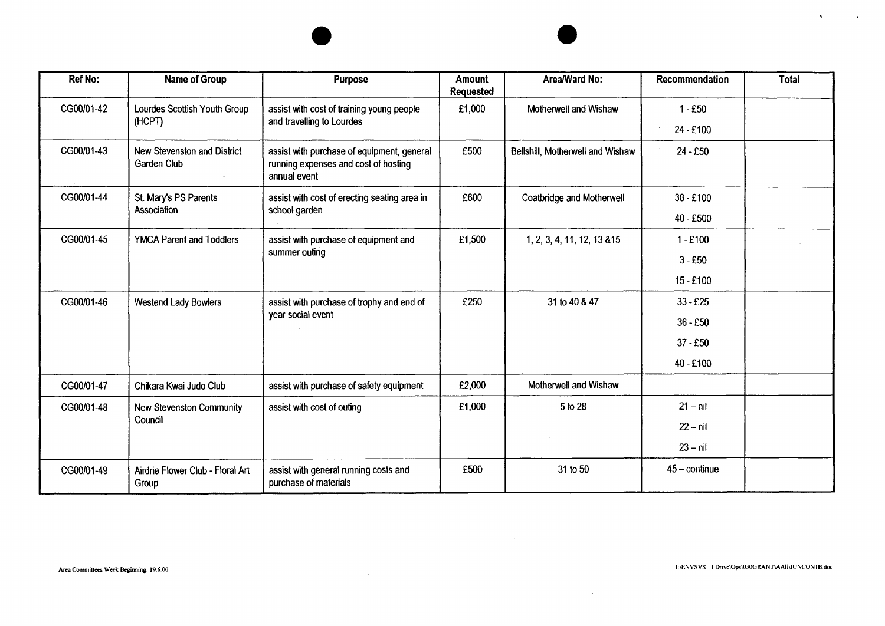| <b>Ref No:</b> | <b>Name of Group</b>                                   | <b>Purpose</b>                                                                                     | <b>Amount</b><br><b>Requested</b> | Area/Ward No:                    | Recommendation         | <b>Total</b> |
|----------------|--------------------------------------------------------|----------------------------------------------------------------------------------------------------|-----------------------------------|----------------------------------|------------------------|--------------|
| CG00/01-42     | Lourdes Scottish Youth Group<br>(HCPT)                 | assist with cost of training young people<br>and travelling to Lourdes                             | £1,000                            | Motherwell and Wishaw            | $1 - £50$              |              |
|                |                                                        |                                                                                                    |                                   |                                  | 24 - £100              |              |
| CG00/01-43     | New Stevenston and District<br>Garden Club<br>$\gamma$ | assist with purchase of equipment, general<br>running expenses and cost of hosting<br>annual event | £500                              | Bellshill, Motherwell and Wishaw | 24 - £50               |              |
| CG00/01-44     | St. Mary's PS Parents                                  | assist with cost of erecting seating area in                                                       | £600                              | Coatbridge and Motherwell        | $38 - £100$            |              |
|                | Association                                            | school garden                                                                                      |                                   |                                  | 40 - £500              |              |
| CG00/01-45     | <b>YMCA Parent and Toddlers</b>                        | assist with purchase of equipment and<br>summer outing                                             | £1,500                            | 1, 2, 3, 4, 11, 12, 13 & 15      | $1 - £100$             |              |
|                |                                                        |                                                                                                    |                                   |                                  | $3 - £50$              |              |
|                |                                                        |                                                                                                    |                                   |                                  | $15 - £100$            |              |
| CG00/01-46     | <b>Westend Lady Bowlers</b>                            | assist with purchase of trophy and end of<br>year social event                                     | £250                              | 31 to 40 & 47                    | $33 - £25$             |              |
|                |                                                        |                                                                                                    |                                   |                                  | $36 - £50$             |              |
|                |                                                        |                                                                                                    |                                   |                                  | $37 - £50$             |              |
|                |                                                        |                                                                                                    |                                   |                                  | 40 - £100              |              |
| CG00/01-47     | Chikara Kwai Judo Club                                 | assist with purchase of safety equipment                                                           | £2,000                            | Motherwell and Wishaw            |                        |              |
| CG00/01-48     | <b>New Stevenston Community</b>                        | assist with cost of outing                                                                         | £1,000                            | 5 to 28                          | $21 - nil$             |              |
|                | Council                                                |                                                                                                    |                                   |                                  | $22 - nil$             |              |
|                |                                                        |                                                                                                    |                                   |                                  | $23 - nil$             |              |
| CG00/01-49     | Airdrie Flower Club - Floral Art<br>Group              | assist with general running costs and<br>purchase of materials                                     | £500                              | 31 to 50                         | $45 - \text{continue}$ |              |

 $\mathcal{L}^{\mathcal{L}}(\mathcal{A})$  .

 $\mathbf{A}$  and  $\mathbf{A}$  are  $\mathbf{A}$  and  $\mathbf{A}$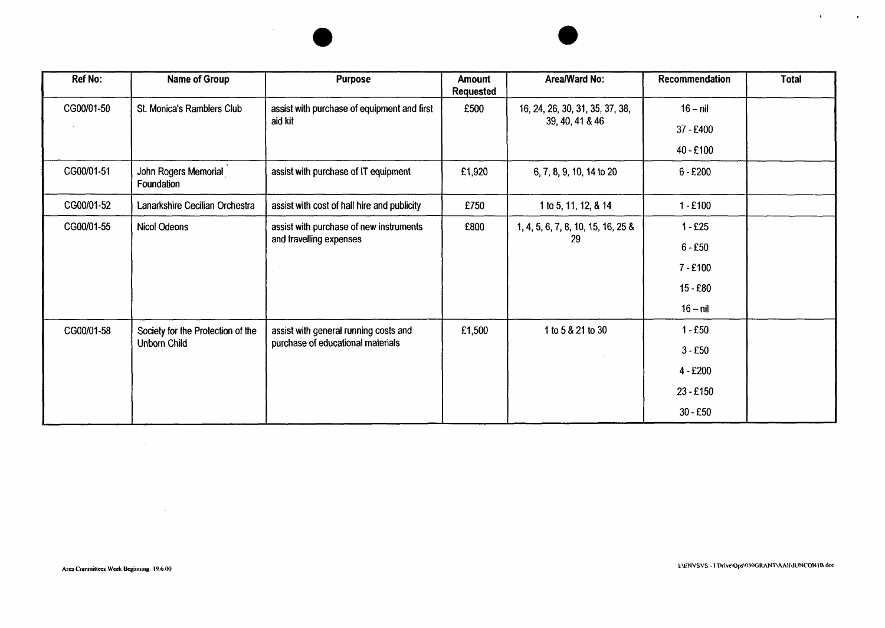

 $\mathcal{A}$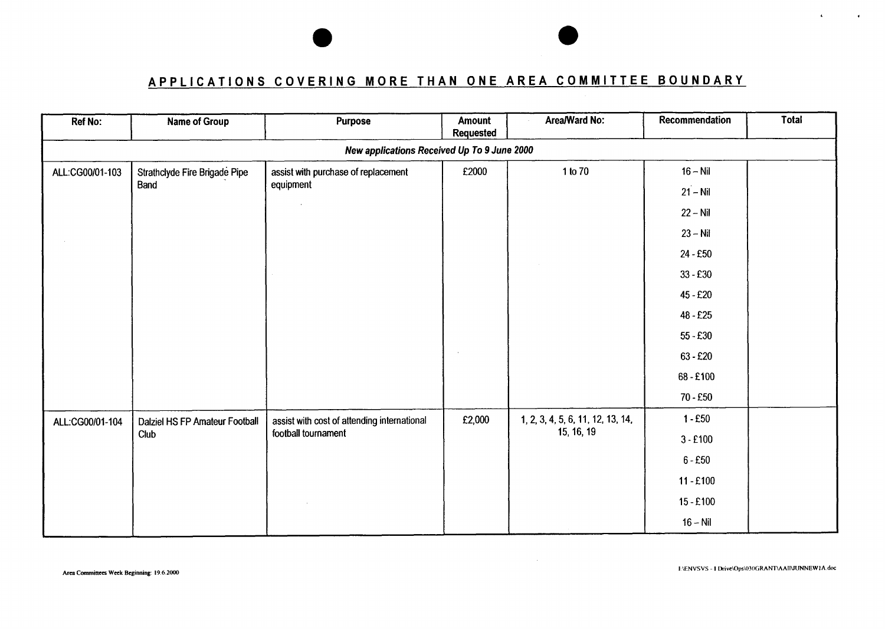# **APPLICATIONS COVERING MORE THAN ONE AREA COMMITTEE BOUNDARY**

| Ref No:         | <b>Name of Group</b>           | Purpose                                     | Amount<br><b>Requested</b> | Area/Ward No:                     | Recommendation | <b>Total</b> |
|-----------------|--------------------------------|---------------------------------------------|----------------------------|-----------------------------------|----------------|--------------|
|                 |                                | New applications Received Up To 9 June 2000 |                            |                                   |                |              |
| ALL:CG00/01-103 | Strathclyde Fire Brigade Pipe  | assist with purchase of replacement         | £2000                      | 1 to 70                           | $16 - Nil$     |              |
|                 | Band                           | equipment                                   |                            |                                   | $21 - Nil$     |              |
|                 |                                |                                             |                            |                                   | $22 - Nil$     |              |
|                 |                                |                                             |                            |                                   | $23 - Nil$     |              |
|                 |                                |                                             |                            |                                   | 24 - £50       |              |
|                 |                                |                                             |                            |                                   | $33 - £30$     |              |
|                 |                                |                                             |                            |                                   | 45 - £20       |              |
|                 |                                |                                             |                            |                                   | 48 - £25       |              |
|                 |                                |                                             |                            |                                   | $55 - £30$     |              |
|                 |                                |                                             |                            |                                   | $63 - £20$     |              |
|                 |                                |                                             |                            |                                   | 68-£100        |              |
|                 |                                |                                             |                            |                                   | 70 - £50       |              |
| ALL:CG00/01-104 | Dalziel HS FP Amateur Football | assist with cost of attending international | £2,000                     | 1, 2, 3, 4, 5, 6, 11, 12, 13, 14, | $1 - £50$      |              |
|                 | Club                           | football tournament                         |                            | 15, 16, 19                        | $3 - £100$     |              |
|                 |                                |                                             |                            |                                   | $6 - £50$      |              |
|                 |                                |                                             |                            |                                   | $11 - £100$    |              |
|                 |                                |                                             |                            |                                   | $15 - £100$    |              |
|                 |                                |                                             |                            |                                   | $16 - Nil$     |              |

 $\sim$ 

 $\hat{\mathbf{x}}$ 

 $\mathbf{r}$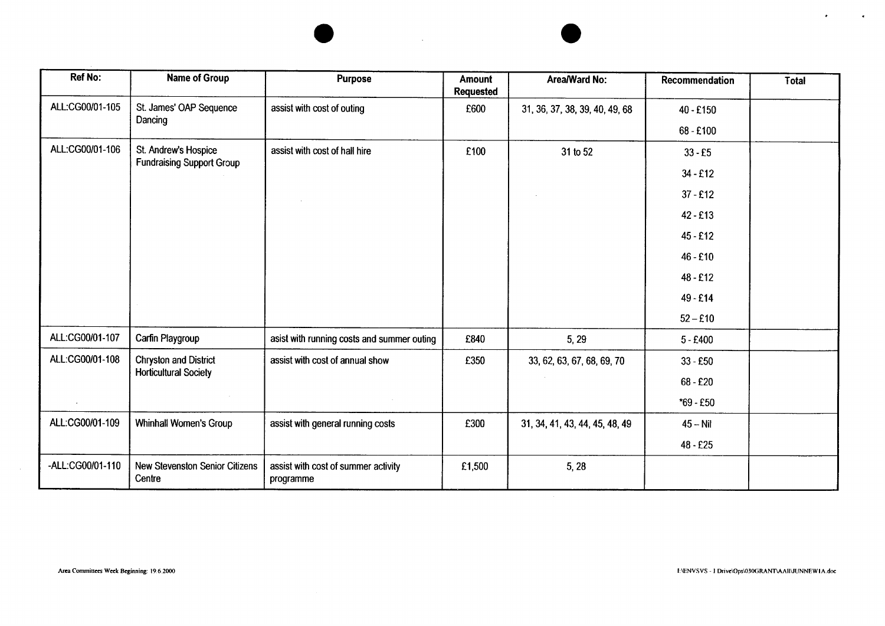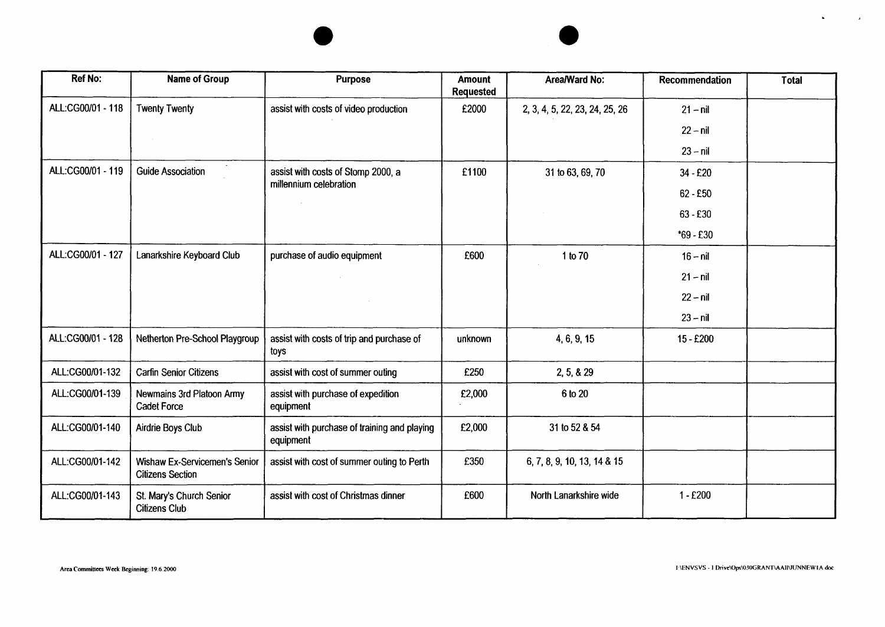| <b>Ref No:</b>    | <b>Name of Group</b>                                            | <b>Purpose</b>                                            | <b>Amount</b><br><b>Requested</b> | Area/Ward No:                  | Recommendation | <b>Total</b> |
|-------------------|-----------------------------------------------------------------|-----------------------------------------------------------|-----------------------------------|--------------------------------|----------------|--------------|
| ALL:CG00/01 - 118 | <b>Twenty Twenty</b>                                            | assist with costs of video production                     | £2000                             | 2, 3, 4, 5, 22, 23, 24, 25, 26 | $21 - nil$     |              |
|                   | $\sim$                                                          |                                                           |                                   |                                | $22 - nil$     |              |
|                   |                                                                 |                                                           |                                   |                                | $23 - nil$     |              |
| ALL:CG00/01 - 119 | <b>Guide Association</b>                                        | assist with costs of Stomp 2000, a                        | £1100                             | 31 to 63, 69, 70               | 34 - £20       |              |
|                   |                                                                 | millennium celebration                                    |                                   |                                | $62 - £50$     |              |
|                   |                                                                 |                                                           |                                   |                                | $63 - £30$     |              |
|                   |                                                                 |                                                           |                                   |                                | $*69 - £30$    |              |
| ALL:CG00/01 - 127 | Lanarkshire Keyboard Club                                       | purchase of audio equipment                               | £600                              | 1 to 70                        | $16 - nil$     |              |
|                   |                                                                 |                                                           |                                   |                                | $21 - nil$     |              |
|                   |                                                                 |                                                           |                                   |                                | $22 - nil$     |              |
|                   |                                                                 |                                                           |                                   |                                | $23 - nil$     |              |
| ALL:CG00/01 - 128 | Netherton Pre-School Playgroup                                  | assist with costs of trip and purchase of<br>toys         | unknown                           | 4, 6, 9, 15                    | 15 - £200      |              |
| ALL:CG00/01-132   | <b>Carfin Senior Citizens</b>                                   | assist with cost of summer outing                         | £250                              | 2, 5, 8, 29                    |                |              |
| ALL:CG00/01-139   | Newmains 3rd Platoon Army<br><b>Cadet Force</b>                 | assist with purchase of expedition<br>equipment           | £2,000                            | 6 to 20                        |                |              |
| ALL:CG00/01-140   | Airdrie Boys Club                                               | assist with purchase of training and playing<br>equipment | £2,000                            | 31 to 52 & 54                  |                |              |
| ALL:CG00/01-142   | <b>Wishaw Ex-Servicemen's Senior</b><br><b>Citizens Section</b> | assist with cost of summer outing to Perth                | £350                              | 6, 7, 8, 9, 10, 13, 14 & 15    |                |              |
| ALL:CG00/01-143   | St. Mary's Church Senior<br><b>Citizens Club</b>                | assist with cost of Christmas dinner                      | £600                              | North Lanarkshire wide         | $1 - £200$     |              |

 $\mathbf{A}$ 

 $\mathcal{L}(\mathcal{L})$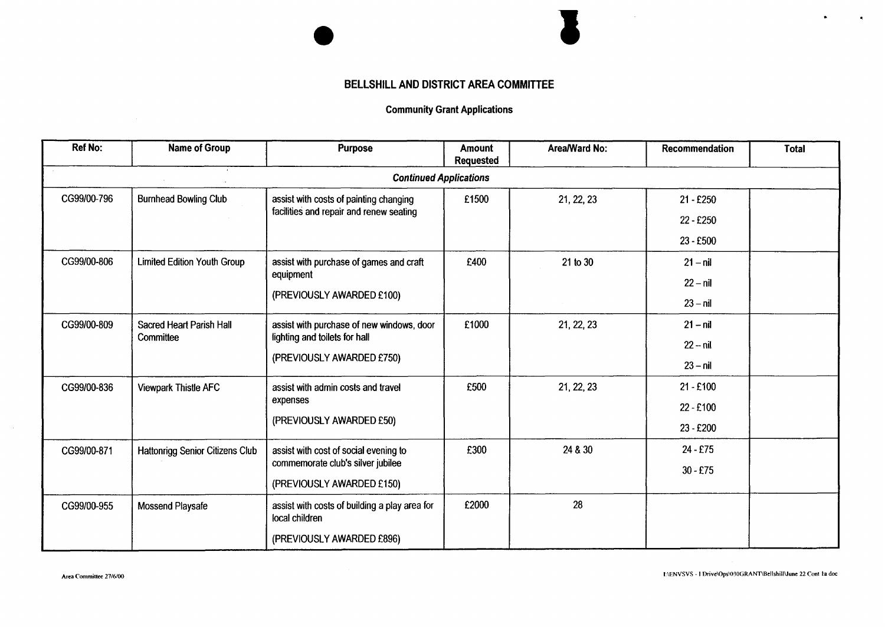# **BELLSHILL AND DISTRICT AREA COMMITTEE**

 $\sim$ 

### **Community Grant Applications**

| <b>Ref No:</b> | <b>Name of Group</b>                   | Purpose                                                                    | Amount<br>Requested | Area/Ward No: | Recommendation | <b>Total</b> |
|----------------|----------------------------------------|----------------------------------------------------------------------------|---------------------|---------------|----------------|--------------|
|                | $\sim$                                 | <b>Continued Applications</b>                                              |                     |               |                |              |
| CG99/00-796    | <b>Burnhead Bowling Club</b>           | assist with costs of painting changing                                     | £1500               | 21, 22, 23    | $21 - £250$    |              |
|                |                                        | facilities and repair and renew seating                                    |                     |               | 22 - £250      |              |
|                |                                        |                                                                            |                     |               | 23 - £500      |              |
| CG99/00-806    | <b>Limited Edition Youth Group</b>     | assist with purchase of games and craft                                    | £400                | 21 to 30      | $21 - nil$     |              |
|                |                                        | equipment                                                                  |                     |               | $22 - nil$     |              |
|                |                                        | (PREVIOUSLY AWARDED £100)                                                  |                     |               | $23 - nil$     |              |
| CG99/00-809    | Sacred Heart Parish Hall               | assist with purchase of new windows, door                                  | £1000               | 21, 22, 23    | $21 - nil$     |              |
|                | Committee                              | lighting and toilets for hall                                              |                     |               | $22 - nil$     |              |
|                |                                        | (PREVIOUSLY AWARDED £750)                                                  |                     |               | $23 - nil$     |              |
| CG99/00-836    | <b>Viewpark Thistle AFC</b>            | assist with admin costs and travel<br>expenses<br>(PREVIOUSLY AWARDED £50) | £500                | 21, 22, 23    | $21 - £100$    |              |
|                |                                        |                                                                            |                     |               | $22 - £100$    |              |
|                |                                        |                                                                            |                     |               | 23 - £200      |              |
| CG99/00-871    | <b>Hattonrigg Senior Citizens Club</b> | assist with cost of social evening to                                      | £300                | 24 & 30       | 24 - £75       |              |
|                |                                        | commemorate club's silver jubilee                                          |                     |               | $30 - £75$     |              |
|                |                                        | (PREVIOUSLY AWARDED £150)                                                  |                     |               |                |              |
| CG99/00-955    | Mossend Playsafe                       | assist with costs of building a play area for<br>local children            | £2000               | 28            |                |              |
|                |                                        | (PREVIOUSLY AWARDED £896)                                                  |                     |               |                |              |

.

 $\bullet$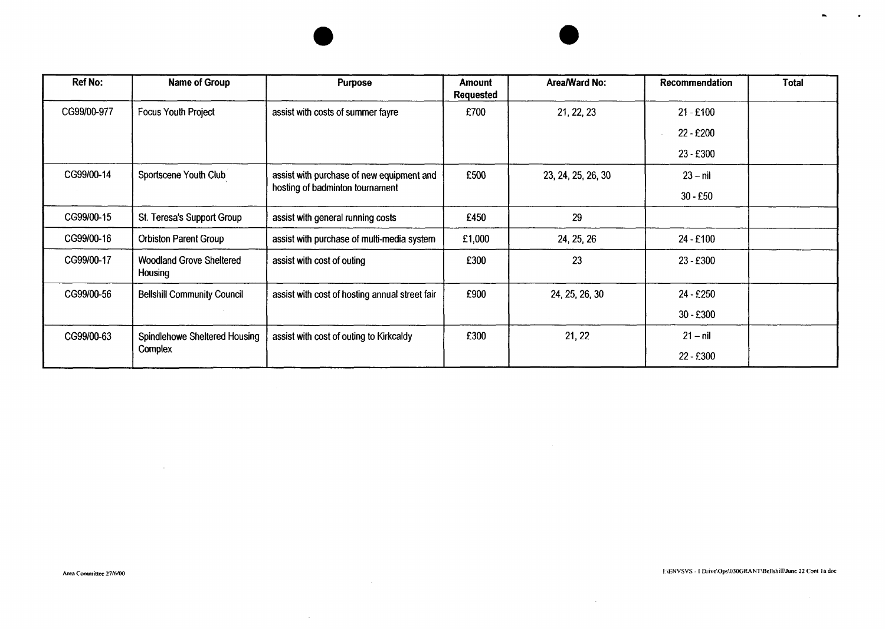| <b>Ref No:</b> | <b>Name of Group</b>                       | <b>Purpose</b>                                 | Amount<br><b>Requested</b> | Area/Ward No:      | Recommendation    | Total |
|----------------|--------------------------------------------|------------------------------------------------|----------------------------|--------------------|-------------------|-------|
| CG99/00-977    | <b>Focus Youth Project</b>                 | assist with costs of summer fayre              | £700                       | 21, 22, 23         | $21 - £100$       |       |
|                |                                            |                                                |                            |                    | 22 - £200         |       |
|                |                                            |                                                |                            |                    | 23 - £300         |       |
| CG99/00-14     | Sportscene Youth Club                      | assist with purchase of new equipment and      | £500                       | 23, 24, 25, 26, 30 | $23 - nil$        |       |
|                |                                            | hosting of badminton tournament                |                            |                    | $30 - £50$        |       |
| CG99/00-15     | St. Teresa's Support Group                 | assist with general running costs              | £450                       | 29                 |                   |       |
| CG99/00-16     | <b>Orbiston Parent Group</b>               | assist with purchase of multi-media system     | £1,000                     | 24, 25, 26         | $24 - £100$       |       |
| CG99/00-17     | <b>Woodland Grove Sheltered</b><br>Housing | assist with cost of outing                     | £300                       | 23                 | 23 - £300         |       |
| CG99/00-56     | <b>Bellshill Community Council</b>         | assist with cost of hosting annual street fair | £900                       | 24, 25, 26, 30     | $24 - £250$       |       |
|                |                                            |                                                |                            |                    | $30 - £300$       |       |
| CG99/00-63     | Spindlehowe Sheltered Housing              | assist with cost of outing to Kirkcaldy        | £300                       | 21, 22             | $21 - \text{nil}$ |       |
|                | Complex                                    |                                                |                            |                    | 22 - £300         |       |

 $\sim 10^{-1}$ 

 $\bullet$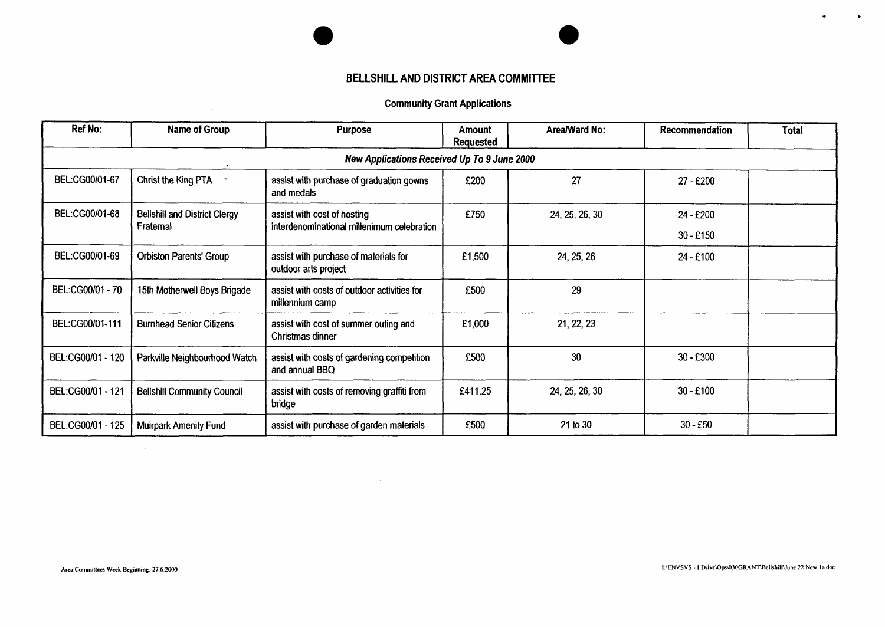### **BELLSHILL AND DISTRICT AREA COMMITTEE**

### Community Grant Applications

| <b>Ref No:</b>    | <b>Name of Group</b>                        | <b>Purpose</b>                                                 | Amount<br><b>Requested</b> | Area/Ward No:  | Recommendation | <b>Total</b> |  |  |  |  |
|-------------------|---------------------------------------------|----------------------------------------------------------------|----------------------------|----------------|----------------|--------------|--|--|--|--|
|                   | New Applications Received Up To 9 June 2000 |                                                                |                            |                |                |              |  |  |  |  |
| BEL:CG00/01-67    | Christ the King PTA                         | assist with purchase of graduation gowns<br>and medals         | £200                       | 27             | 27 - £200      |              |  |  |  |  |
| BEL:CG00/01-68    | <b>Bellshill and District Clergy</b>        | assist with cost of hosting                                    | £750                       | 24, 25, 26, 30 | 24 - £200      |              |  |  |  |  |
|                   | Fraternal                                   | interdenominational millenimum celebration                     |                            |                | $30 - £150$    |              |  |  |  |  |
| BEL:CG00/01-69    | <b>Orbiston Parents' Group</b>              | assist with purchase of materials for<br>outdoor arts project  | £1,500                     | 24, 25, 26     | 24 - £100      |              |  |  |  |  |
| BEL:CG00/01 - 70  | 15th Motherwell Boys Brigade                | assist with costs of outdoor activities for<br>millennium camp | £500                       | 29             |                |              |  |  |  |  |
| BEL:CG00/01-111   | <b>Burnhead Senior Citizens</b>             | assist with cost of summer outing and<br>Christmas dinner      | £1,000                     | 21, 22, 23     |                |              |  |  |  |  |
| BEL:CG00/01 - 120 | Parkville Neighbourhood Watch               | assist with costs of gardening competition<br>and annual BBQ   | £500                       | 30             | $30 - £300$    |              |  |  |  |  |
| BEL:CG00/01 - 121 | <b>Bellshill Community Council</b>          | assist with costs of removing graffiti from<br>bridge          | £411.25                    | 24, 25, 26, 30 | $30 - £100$    |              |  |  |  |  |
| BEL:CG00/01 - 125 | <b>Muirpark Amenity Fund</b>                | assist with purchase of garden materials                       | £500                       | 21 to 30       | $30 - £50$     |              |  |  |  |  |

 $\sim 10^{11}$  km s  $^{-1}$ 

 $\mathcal{L}^{\text{max}}_{\text{max}}$  and  $\mathcal{L}^{\text{max}}_{\text{max}}$ 

 $\sim 100$ 

**<sup>I</sup>**.